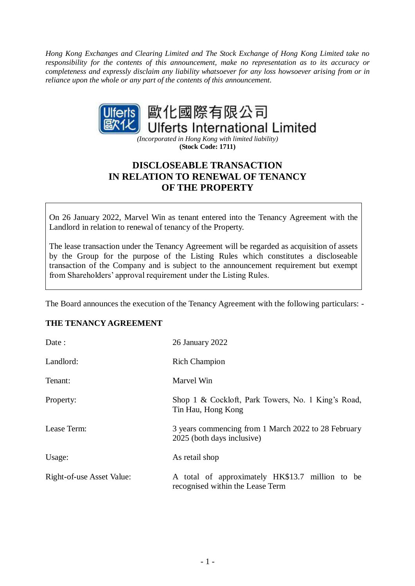*Hong Kong Exchanges and Clearing Limited and The Stock Exchange of Hong Kong Limited take no responsibility for the contents of this announcement, make no representation as to its accuracy or completeness and expressly disclaim any liability whatsoever for any loss howsoever arising from or in reliance upon the whole or any part of the contents of this announcement.*



*(Incorporated in Hong Kong with limited liability)* **(Stock Code: 1711)**

# **DISCLOSEABLE TRANSACTION IN RELATION TO RENEWAL OF TENANCY OF THE PROPERTY**

On 26 January 2022, Marvel Win as tenant entered into the Tenancy Agreement with the Landlord in relation to renewal of tenancy of the Property.

The lease transaction under the Tenancy Agreement will be regarded as acquisition of assets by the Group for the purpose of the Listing Rules which constitutes a discloseable transaction of the Company and is subject to the announcement requirement but exempt from Shareholders' approval requirement under the Listing Rules.

The Board announces the execution of the Tenancy Agreement with the following particulars: -

## **THE TENANCY AGREEMENT**

| Date:                     | 26 January 2022                                                                     |  |
|---------------------------|-------------------------------------------------------------------------------------|--|
| Landlord:                 | <b>Rich Champion</b>                                                                |  |
| Tenant:                   | Marvel Win                                                                          |  |
| Property:                 | Shop 1 & Cockloft, Park Towers, No. 1 King's Road,<br>Tin Hau, Hong Kong            |  |
| Lease Term:               | 3 years commencing from 1 March 2022 to 28 February<br>2025 (both days inclusive)   |  |
| Usage:                    | As retail shop                                                                      |  |
| Right-of-use Asset Value: | A total of approximately HK\$13.7 million to be<br>recognised within the Lease Term |  |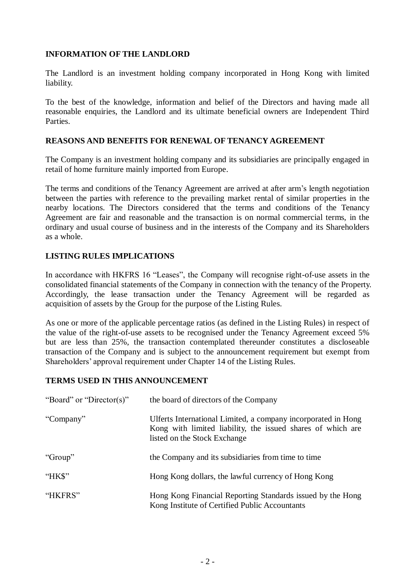## **INFORMATION OF THE LANDLORD**

The Landlord is an investment holding company incorporated in Hong Kong with limited liability.

To the best of the knowledge, information and belief of the Directors and having made all reasonable enquiries, the Landlord and its ultimate beneficial owners are Independent Third Parties.

## **REASONS AND BENEFITS FOR RENEWAL OF TENANCY AGREEMENT**

The Company is an investment holding company and its subsidiaries are principally engaged in retail of home furniture mainly imported from Europe.

The terms and conditions of the Tenancy Agreement are arrived at after arm's length negotiation between the parties with reference to the prevailing market rental of similar properties in the nearby locations. The Directors considered that the terms and conditions of the Tenancy Agreement are fair and reasonable and the transaction is on normal commercial terms, in the ordinary and usual course of business and in the interests of the Company and its Shareholders as a whole.

## **LISTING RULES IMPLICATIONS**

In accordance with HKFRS 16 "Leases", the Company will recognise right-of-use assets in the consolidated financial statements of the Company in connection with the tenancy of the Property. Accordingly, the lease transaction under the Tenancy Agreement will be regarded as acquisition of assets by the Group for the purpose of the Listing Rules.

As one or more of the applicable percentage ratios (as defined in the Listing Rules) in respect of the value of the right-of-use assets to be recognised under the Tenancy Agreement exceed 5% but are less than 25%, the transaction contemplated thereunder constitutes a discloseable transaction of the Company and is subject to the announcement requirement but exempt from Shareholders' approval requirement under Chapter 14 of the Listing Rules.

## **TERMS USED IN THIS ANNOUNCEMENT**

| "Board" or "Director(s)" | the board of directors of the Company                                                                                                                        |
|--------------------------|--------------------------------------------------------------------------------------------------------------------------------------------------------------|
| "Company"                | Ulferts International Limited, a company incorporated in Hong<br>Kong with limited liability, the issued shares of which are<br>listed on the Stock Exchange |
| "Group"                  | the Company and its subsidiaries from time to time                                                                                                           |
| "HK\$"                   | Hong Kong dollars, the lawful currency of Hong Kong                                                                                                          |
| "HKFRS"                  | Hong Kong Financial Reporting Standards issued by the Hong<br>Kong Institute of Certified Public Accountants                                                 |